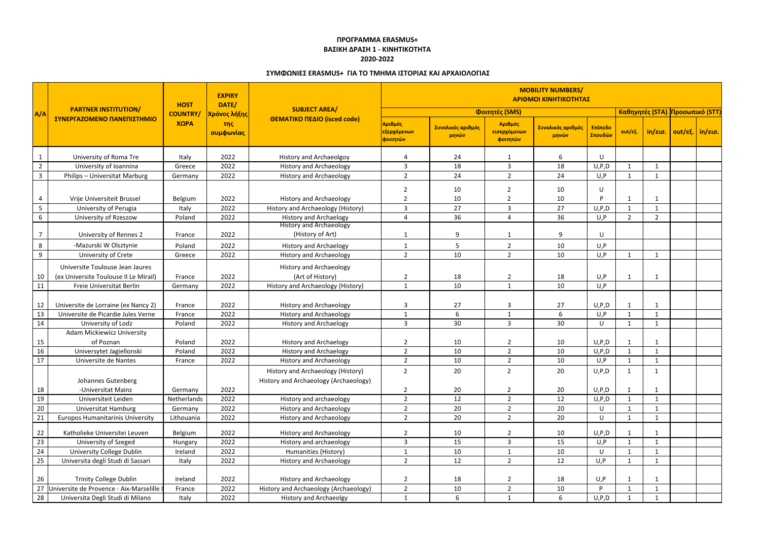|                | <b>EXPIRY</b><br>DATE/<br><b>HOST</b><br><b>PARTNER INSTITUTION/</b><br><b>SUBJECT AREA/</b> |                 |                  | <b>MOBILITY NUMBERS/</b><br>ΑΡΙΘΜΟΙ ΚΙΝΗΤΙΚΟΤΗΤΑΣ<br>Καθηγητές (STA) Προσωπικό (STT) |                                                 |                            |                                     |                            |                    |                |                   |                   |  |  |
|----------------|----------------------------------------------------------------------------------------------|-----------------|------------------|--------------------------------------------------------------------------------------|-------------------------------------------------|----------------------------|-------------------------------------|----------------------------|--------------------|----------------|-------------------|-------------------|--|--|
| A/A            |                                                                                              | <b>COUNTRY/</b> | Χρόνος λήξης     |                                                                                      |                                                 |                            | Φοιτητές (SMS)                      |                            |                    |                |                   |                   |  |  |
|                | ΣΥΝΕΡΓΑΖΟΜΕΝΟ ΠΑΝΕΠΙΣΤΗΜΙΟ                                                                   | ΧΩΡΑ            | της<br>συμφωνίας | ΘΕΜΑΤΙΚΟ ΠΕΔΙΟ (isced code)                                                          | Αριθμός<br><mark>εξερχόμενων</mark><br>φοιτητών | Συνολικός αριθμός<br>μηνών | Αριθμός<br>εισερχόμενων<br>φοιτητών | Συνολικός αριθμός<br>μηνών | Επίπεδο<br>Σπουδών | out/εξ.        | $in/\epsilon$ ισ. | out/εξ.   in/εισ. |  |  |
| $\mathbf 1$    | University of Roma Tre                                                                       | Italy           | 2022             | <b>History and Archaeolgoy</b>                                                       | 4                                               | 24                         | -1                                  | 6                          | U                  |                |                   |                   |  |  |
| $\overline{2}$ | University of Ioannina                                                                       | Greece          | 2022             | <b>History and Archaeology</b>                                                       | $\mathsf{3}$                                    | 18                         | $\mathbf{3}$                        | 18                         | U, P, D            |                | $\mathbf{1}$      |                   |  |  |
| $\mathbf{3}$   | Philips - Universitat Marburg                                                                | Germany         | 2022             | <b>History and Archaeology</b>                                                       | $\overline{2}$                                  | 24                         | $2^{\circ}$                         | 24                         | U, P               | $\mathbf{1}$   | $\mathbf{1}$      |                   |  |  |
|                |                                                                                              |                 |                  |                                                                                      | 2                                               | 10                         | $\overline{2}$                      | 10                         | U                  |                |                   |                   |  |  |
| $\overline{a}$ | Vrije Universiteit Brussel                                                                   | Belgium         | 2022             | <b>History and Archaeology</b>                                                       | 2                                               | 10                         | $\overline{2}$                      | 10                         | D                  |                | 1                 |                   |  |  |
| $5\phantom{.}$ | University of Perugia                                                                        | Italy           | 2022             | History and Archaeology (History)                                                    | 3                                               | 27                         | 3                                   | 27                         | U, P, D            | $\mathbf{1}$   | $\mathbf{1}$      |                   |  |  |
| 6              | University of Rzeszow                                                                        | Poland          | 2022             | <b>History and Archaelogy</b>                                                        | 4                                               | 36                         | 4                                   | 36                         | U, P               | $\overline{2}$ | $\overline{2}$    |                   |  |  |
|                |                                                                                              |                 |                  | <b>History and Archaeology</b>                                                       |                                                 |                            |                                     |                            |                    |                |                   |                   |  |  |
| $\overline{7}$ | University of Rennes 2                                                                       | France          | 2022             | (History of Art)                                                                     | 1                                               | 9                          | -1                                  | 9                          | U                  |                |                   |                   |  |  |
| 8              | -Mazurski W Olsztynie                                                                        | Poland          | 2022             | <b>History and Archaelogy</b>                                                        | -1                                              | 5                          | $\overline{2}$                      | 10                         | U, P               |                |                   |                   |  |  |
| 9              | University of Crete                                                                          | Greece          | 2022             | <b>History and Archaeology</b>                                                       | $\overline{2}$                                  | 10                         | $\overline{2}$                      | 10                         | U, P               | 1              | 1                 |                   |  |  |
|                | Universite Toulouse Jean Jaures                                                              |                 |                  | <b>History and Archaeology</b>                                                       |                                                 |                            |                                     |                            |                    |                |                   |                   |  |  |
| 10             | (ex Universite Toulouse II Le Mirail)                                                        | France          | 2022             | (Art of History)                                                                     | $\overline{2}$                                  | 18                         | $\overline{2}$                      | 18                         | U, P               | -1             | - 1               |                   |  |  |
| 11             | Freie Universitat Berlin                                                                     | Germany         | 2022             | History and Archaeology (History)                                                    | $\mathbf{1}$                                    | 10                         | $\mathbf{1}$                        | 10                         | U, P               |                |                   |                   |  |  |
|                |                                                                                              |                 |                  |                                                                                      |                                                 |                            |                                     |                            |                    |                |                   |                   |  |  |
| 12             | Universite de Lorraine (ex Nancy 2)                                                          | France          | 2022             | <b>History and Archaeology</b>                                                       | 3                                               | 27                         | 3                                   | 27                         | U, P, D            | 1              | $\overline{1}$    |                   |  |  |
| 13             | Universite de Picardie Jules Verne                                                           | France          | 2022             | <b>History and Archaeology</b>                                                       | $\mathbf{1}$                                    | 6                          | $\mathbf{1}$                        | 6                          | U, P               | $\mathbf{1}$   | -1                |                   |  |  |
| 14             | University of Lodz                                                                           | Poland          | 2022             | <b>History and Archaelogy</b>                                                        | 3                                               | 30                         | $\mathbf{3}$                        | 30                         | U                  | 1              | $\mathbf{1}$      |                   |  |  |
|                | <b>Adam Mickiewicz University</b>                                                            |                 |                  |                                                                                      |                                                 |                            |                                     |                            |                    |                |                   |                   |  |  |
| 15             | of Poznan                                                                                    | Poland          | 2022             | <b>History and Archaelogy</b>                                                        | $\overline{2}$                                  | 10                         | $\overline{2}$                      | 10                         | U, P, D            | -1             | -1                |                   |  |  |
| 16             | Universytet Jagiellonski                                                                     | Poland          | 2022             | <b>History and Archaelogy</b>                                                        | $\overline{2}$                                  | 10                         | $\overline{2}$                      | 10                         | U, P, D            |                | -1                |                   |  |  |
| 17             | Universite de Nantes                                                                         | France          | 2022             | <b>History and Archaeology</b>                                                       | $\overline{2}$                                  | 10                         | $2^{\circ}$                         | 10                         | U, P               | 1              | - 1               |                   |  |  |
|                | Johannes Gutenberg                                                                           |                 |                  | History and Archaeology (History)<br>History and Archaeology (Archaeology)           | $\overline{2}$                                  | 20                         | $\overline{2}$                      | 20                         | U, P, D            |                |                   |                   |  |  |
| 18             | -Universitat Mainz                                                                           | Germany         | 2022             |                                                                                      | $\overline{2}$                                  | 20                         | $\overline{2}$                      | 20                         | U, P, D            | -1             | -1                |                   |  |  |
| 19             | Universiteit Leiden                                                                          | Netherlands     | 2022             | History and archaeology                                                              | $\overline{2}$                                  | 12                         | $2^{\circ}$                         | 12                         | U, P, D            | $\mathbf{1}$   | - 1               |                   |  |  |
| 20             | Universitat Hamburg                                                                          | Germany         | 2022             | <b>History and Archaeology</b>                                                       | $\overline{2}$                                  | 20                         | $2^{\circ}$                         | 20                         | U                  |                | -1                |                   |  |  |
| 21             | <b>Europos Humanitarinis University</b>                                                      | Lithouania      | 2022             | <b>History and Archaeology</b>                                                       | $\overline{2}$                                  | 20                         | $\overline{2}$                      | 20                         | U                  | $\mathbf{1}$   | -1                |                   |  |  |
| 22             | Katholieke Universitei Leuven                                                                | Belgium         | 2022             | <b>History and Archaeology</b>                                                       | $\overline{2}$                                  | 10                         | $\overline{2}$                      | 10                         | U, P, D            |                |                   |                   |  |  |
| 23             | University of Szeged                                                                         | Hungary         | 2022             | History and archaeology                                                              | $\mathsf{3}$                                    | 15                         | $\mathbf{3}$                        | 15                         | U, P               | $\mathbf{1}$   | -1                |                   |  |  |
| 24             | <b>University College Dublin</b>                                                             | Ireland         | 2022             | Humanities (History)                                                                 | $\mathbf{1}$                                    | 10                         | $\mathbf{1}$                        | 10                         | U                  | $\mathbf{1}$   | -1                |                   |  |  |
| 25             | Universita degli Studi di Sassari                                                            | Italy           | 2022             | <b>History and Archaeology</b>                                                       | $\overline{2}$                                  | 12                         | $\overline{2}$                      | 12                         | U, P               | $\mathbf{1}$   | - 1               |                   |  |  |
|                |                                                                                              |                 |                  |                                                                                      |                                                 |                            |                                     |                            |                    |                |                   |                   |  |  |
| 26             | <b>Trinity College Dublin</b>                                                                | Ireland         | 2022             | <b>History and Archaeology</b>                                                       | $\overline{2}$                                  | 18                         | $\overline{2}$                      | 18                         | U, P               |                | -1                |                   |  |  |
| 27             | Universite de Provence - Aix-Marselille                                                      | France          | 2022             | History and Archaeology (Archaeology)                                                | $\overline{2}$                                  | $10\,$                     | $\overline{2}$                      | 10                         |                    |                | -1                |                   |  |  |
| 28             | Universita Degli Studi di Milano                                                             | Italy           | 2022             | <b>History and Archaeolgy</b>                                                        | $\mathbf{1}$                                    | 6                          | $\mathbf{1}$                        | 6                          | U, P, D            | 1              | 1                 |                   |  |  |

## **ΠΡΟΓΡΑΜΜΑ ERASMUS+ ΒΑΣΙΚΗ ΔΡΑΣΗ 1 - ΚΙΝΗΤΙΚΟΤΗΤΑ 2020-2022**

## **ΣΥΜΦΩΝΙΕΣ ERASMUS+ ΓΙΑ ΤΟ ΤΜΗΜΑ ΙΣΤΟΡΙΑΣ ΚΑΙ ΑΡΧΑΙΟΛΟΓΙΑΣ**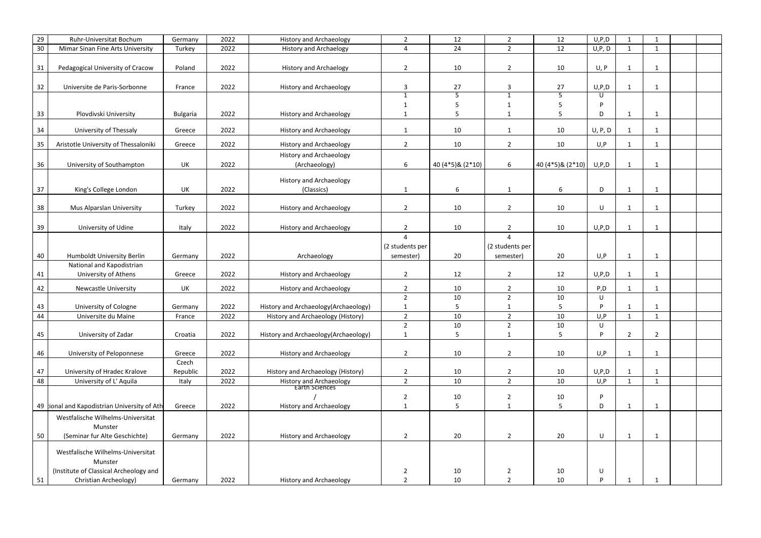| 29       | Ruhr-Universitat Bochum                                                                | Germany           | 2022         | <b>History and Archaeology</b>                                      | $\overline{2}$                   | 12                | $\overline{2}$                   | 12                | U, P, D         | - 1                     | -1                 |  |
|----------|----------------------------------------------------------------------------------------|-------------------|--------------|---------------------------------------------------------------------|----------------------------------|-------------------|----------------------------------|-------------------|-----------------|-------------------------|--------------------|--|
| 30       | Mimar Sinan Fine Arts University                                                       | Turkey            | 2022         | <b>History and Archaelogy</b>                                       | $\overline{a}$                   | 24                | $\overline{2}$                   | 12                | U, P, D         | $\mathbf{1}$            | $\mathbf{1}$       |  |
| 31       | Pedagogical University of Cracow                                                       | Poland            | 2022         | <b>History and Archaelogy</b>                                       | $\overline{2}$                   | 10                | $\overline{2}$                   | 10                | U, P            | $\mathbf{1}$            | $\mathbf{1}$       |  |
| 32       | Universite de Paris-Sorbonne                                                           | France            | 2022         | <b>History and Archaeology</b>                                      | $\mathsf{3}$                     | 27                | 3                                | 27                | U, P, D         | -1                      | $\mathbf{1}$       |  |
|          |                                                                                        |                   |              |                                                                     | $\mathbf{1}$                     | 5                 | $\mathbf{1}$                     | 5                 | U               |                         |                    |  |
|          |                                                                                        |                   |              |                                                                     | 1                                | 5                 | -1                               | 5                 | D               |                         |                    |  |
| 33       | Plovdivski University                                                                  | <b>Bulgaria</b>   | 2022         | <b>History and Archaeology</b>                                      | $\mathbf 1$                      | 5                 | $\mathbf{1}$                     | 5                 | D               | $\mathbf{1}$            | $\mathbf{1}$       |  |
| 34       | University of Thessaly                                                                 | Greece            | 2022         | <b>History and Archaeology</b>                                      | $\mathbf{1}$                     | 10                | $\mathbf{1}$                     | 10                | U, P, D         |                         | -1                 |  |
| 35       | Aristotle University of Thessaloniki                                                   | Greece            | 2022         | <b>History and Archaeology</b>                                      | $\overline{2}$                   | 10                | $\overline{2}$                   | 10                | U, P            | -1                      | $\mathbf{1}$       |  |
| 36       | University of Southampton                                                              | UK                | 2022         | <b>History and Archaeology</b><br>(Archaeology)                     | 6                                | 40 (4*5) & (2*10) | 6                                | 40 (4*5) & (2*10) | U, P, D         | $\overline{\mathbf{1}}$ | $\mathbf{1}$       |  |
|          |                                                                                        |                   |              |                                                                     |                                  |                   |                                  |                   |                 |                         |                    |  |
|          |                                                                                        |                   | 2022         | <b>History and Archaeology</b>                                      |                                  |                   |                                  | 6                 |                 |                         |                    |  |
| 37       | King's College London                                                                  | UK                |              | (Classics)                                                          | $\mathbf{1}$                     | 6                 | $\mathbf{1}$                     |                   | D               | $\mathbf{1}$            | $\mathbf{1}$       |  |
| 38       | Mus Alparslan University                                                               | Turkey            | 2022         | <b>History and Archaeology</b>                                      | $\overline{2}$                   | 10                | $\overline{2}$                   | 10                | U               | 1                       | $\mathbf{1}$       |  |
|          |                                                                                        |                   |              |                                                                     |                                  |                   |                                  |                   |                 |                         |                    |  |
| 39       | University of Udine                                                                    | Italy             | 2022         | <b>History and Archaeology</b>                                      | $\overline{2}$                   | 10                | $\overline{2}$                   | 10                | U, P, D         | -1                      | -1                 |  |
|          |                                                                                        |                   |              |                                                                     | 4                                |                   | 4                                |                   |                 |                         |                    |  |
|          |                                                                                        |                   |              |                                                                     | (2 students per                  |                   | (2 students per                  |                   |                 |                         |                    |  |
| 40       | Humboldt University Berlin                                                             | Germany           | 2022         | Archaeology                                                         | semester)                        | 20                | semester)                        | 20                | U, P            | $\mathbf{1}$            | $\mathbf{1}$       |  |
| 41       | National and Kapodistrian<br>University of Athens                                      | Greece            | 2022         | <b>History and Archaeology</b>                                      | $\overline{2}$                   | 12                | $\overline{2}$                   | 12                | U, P, D         | -1                      | $\mathbf{1}$       |  |
| 42       | <b>Newcastle University</b>                                                            | UK                | 2022         | <b>History and Archaeology</b>                                      | $\overline{2}$                   | 10                | $\overline{2}$                   | 10                | P, D            | $\mathbf{1}$            | $\mathbf{1}$       |  |
|          |                                                                                        |                   |              |                                                                     | $\overline{2}$                   | 10                | $\overline{2}$                   | 10                | U               |                         |                    |  |
| 43       | University of Cologne                                                                  | Germany           | 2022         | History and Archaeology (Archaeology)                               | 1                                | 5                 |                                  | 5                 | D               |                         | -1                 |  |
| 44       | Universite du Maine                                                                    | France            | 2022         | History and Archaeology (History)                                   | $\overline{2}$                   | 10                | $\overline{2}$                   | 10                | U, P            | $\mathbf{1}$            | $\mathbf{1}$       |  |
|          |                                                                                        |                   |              |                                                                     | $\overline{2}$                   | 10                | $\overline{2}$                   | 10                | U               |                         |                    |  |
| 45       | University of Zadar                                                                    | Croatia           | 2022         | History and Archaeology (Archaeology)                               | $\mathbf{1}$                     | 5                 | $\mathbf{1}$                     | 5                 | D.              | $\overline{2}$          | $\overline{2}$     |  |
| 46       | University of Peloponnese                                                              | Greece            | 2022         | <b>History and Archaeology</b>                                      | $\overline{2}$                   | 10                | $\overline{2}$                   | 10                | U, P            | $\mathbf{1}$            | $\mathbf{1}$       |  |
|          |                                                                                        | Czech             |              |                                                                     |                                  |                   |                                  |                   |                 |                         |                    |  |
| 47<br>48 | University of Hradec Kralove<br>University of L' Aquila                                | Republic<br>Italy | 2022<br>2022 | History and Archaeology (History)<br><b>History and Archaeology</b> | $\overline{2}$<br>$\overline{2}$ | 10<br>10          | $\overline{2}$<br>$2^{\circ}$    | 10<br>10          | U, P, D<br>U, P | $\overline{1}$          | -1<br>$\mathbf{1}$ |  |
|          |                                                                                        |                   |              | <b>Earth Sciences</b>                                               |                                  |                   |                                  |                   |                 |                         |                    |  |
|          |                                                                                        |                   |              |                                                                     | $\overline{2}$                   | 10                | $\overline{2}$                   | 10                | P.              |                         |                    |  |
|          | 49 tional and Kapodistrian University of Ath                                           | Greece            | 2022         | <b>History and Archaeology</b>                                      | $\mathbf{1}$                     | 5                 | $\mathbf{1}$                     | 5                 | D               | 1                       | -1                 |  |
|          | Westfalische Wilhelms-Universitat<br>Munster                                           |                   |              |                                                                     |                                  |                   |                                  |                   |                 |                         |                    |  |
| 50       | (Seminar fur Alte Geschichte)                                                          | Germany           | 2022         | <b>History and Archaeology</b>                                      | $\overline{2}$                   | 20                | $\overline{2}$                   | 20                | U               | 1                       | 1                  |  |
| 51       | Westfalische Wilhelms-Universitat<br>Munster<br>(Institute of Classical Archeology and |                   | 2022         |                                                                     | $\overline{2}$<br>$\overline{2}$ | 10<br>10          | $\overline{2}$<br>$\overline{2}$ | 10<br>10          | U<br>D          |                         |                    |  |
|          | Christian Archeology)                                                                  | Germany           |              | <b>History and Archaeology</b>                                      |                                  |                   |                                  |                   |                 |                         |                    |  |